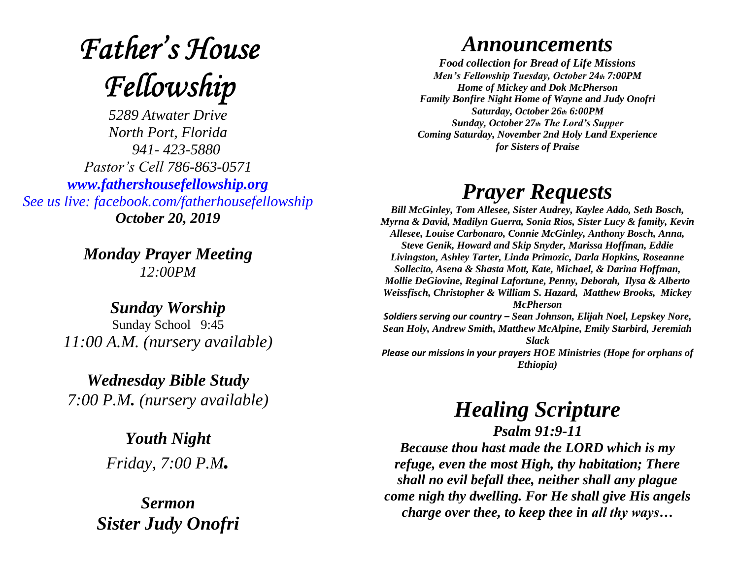# **Father's House** Fellowship

*5289 Atwater Drive North Port, Florida 941- 423-5880 Pastor's Cell 786-863-0571 [www.fathershousefellowship.org](http://www.fathershousefellowship.org/) See us live: facebook.com/fatherhousefellowship October 20, 2019*

> *Monday Prayer Meeting 12:00PM*

*Sunday Worship* Sunday School 9:45 *11:00 A.M. (nursery available)*

*Wednesday Bible Study 7:00 P.M. (nursery available)*

> *Youth Night Friday, 7:00 P.M.*

*Sermon Sister Judy Onofri*

### *Announcements*

*Food collection for Bread of Life Missions Men's Fellowship Tuesday, October 24th 7:00PM Home of Mickey and Dok McPherson Family Bonfire Night Home of Wayne and Judy Onofri Saturday, October 26th 6:00PM Sunday, October 27th The Lord's Supper Coming Saturday, November 2nd Holy Land Experience for Sisters of Praise*

## *Prayer Requests*

*Bill McGinley, Tom Allesee, Sister Audrey, Kaylee Addo, Seth Bosch, Myrna & David, Madilyn Guerra, Sonia Rios, Sister Lucy & family, Kevin Allesee, Louise Carbonaro, Connie McGinley, Anthony Bosch, Anna, Steve Genik, Howard and Skip Snyder, Marissa Hoffman, Eddie Livingston, Ashley Tarter, Linda Primozic, Darla Hopkins, Roseanne Sollecito, Asena & Shasta Mott, Kate, Michael, & Darina Hoffman, Mollie DeGiovine, Reginal Lafortune, Penny, Deborah, Ilysa & Alberto Weissfisch, Christopher & William S. Hazard, Matthew Brooks, Mickey McPherson Soldiers serving our country – Sean Johnson, Elijah Noel, Lepskey Nore,* 

*Sean Holy, Andrew Smith, Matthew McAlpine, Emily Starbird, Jeremiah Slack Please our missions in your prayers HOE Ministries (Hope for orphans of* 

*Ethiopia)*

#### *Healing Scripture Psalm 91:9-11*

*Because thou hast made the LORD which is my refuge, even the most High, thy habitation; There shall no evil befall thee, neither shall any plague come nigh thy dwelling. For He shall give His angels charge over thee, to keep thee in all thy ways…*